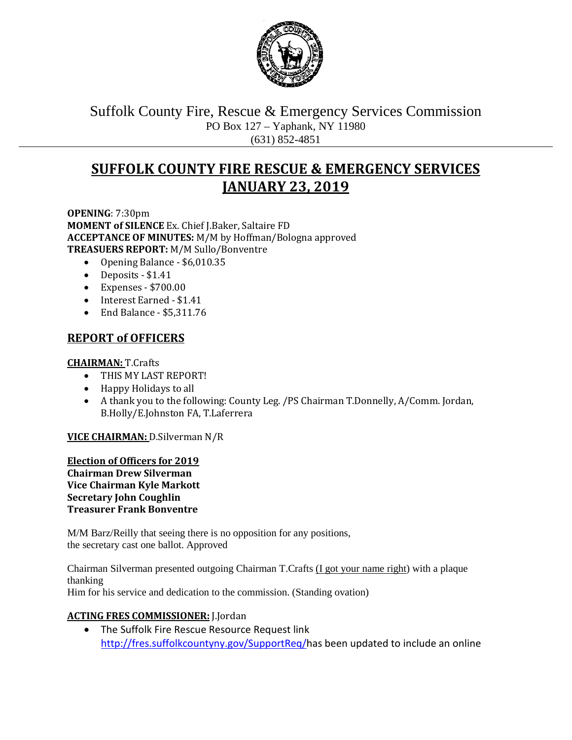

Suffolk County Fire, Rescue & Emergency Services Commission PO Box 127 – Yaphank, NY 11980 (631) 852-4851

# **SUFFOLK COUNTY FIRE RESCUE & EMERGENCY SERVICES JANUARY 23, 2019**

**OPENING**: 7:30pm **MOMENT of SILENCE** Ex. Chief J.Baker, Saltaire FD **ACCEPTANCE OF MINUTES:** M/M by Hoffman/Bologna approved **TREASUERS REPORT:** M/M Sullo/Bonventre

- Opening Balance \$6,010.35
- Deposits \$1.41
- Expenses \$700.00
- Interest Earned \$1.41
- End Balance \$5,311.76

# **REPORT of OFFICERS**

### **CHAIRMAN:** T.Crafts

- THIS MY LAST REPORT!
- Happy Holidays to all
- A thank you to the following: County Leg. /PS Chairman T.Donnelly, A/Comm. Jordan, B.Holly/E.Johnston FA, T.Laferrera

**VICE CHAIRMAN:** D.Silverman N/R

**Election of Officers for 2019 Chairman Drew Silverman Vice Chairman Kyle Markott Secretary John Coughlin Treasurer Frank Bonventre**

M/M Barz/Reilly that seeing there is no opposition for any positions, the secretary cast one ballot. Approved

Chairman Silverman presented outgoing Chairman T.Crafts (I got your name right) with a plaque thanking Him for his service and dedication to the commission. (Standing ovation)

### **ACTING FRES COMMISSIONER:** J.Jordan

• The Suffolk Fire Rescue Resource Request link [http://fres.suffolkcountyny.gov/SupportReq/h](http://fres.suffolkcountyny.gov/SupportReq/)as been updated to include an online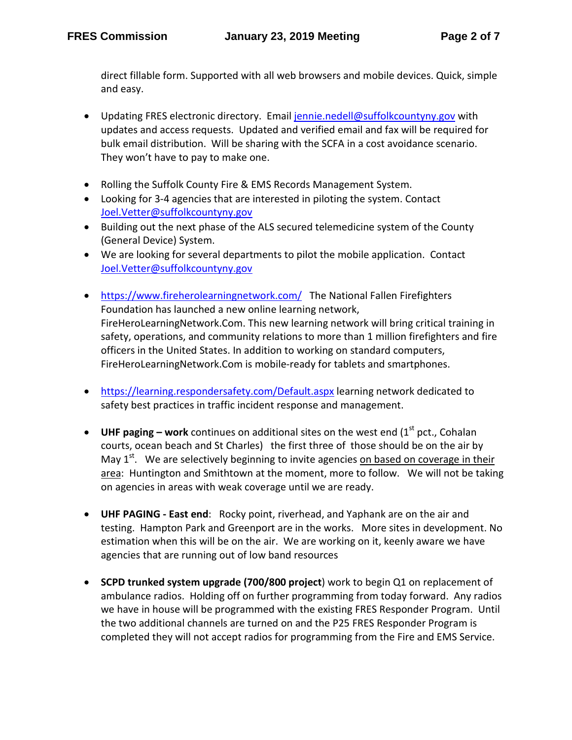direct fillable form. Supported with all web browsers and mobile devices. Quick, simple and easy.

- Updating FRES electronic directory. Email [jennie.nedell@suffolkcountyny.gov](mailto:jennie.nedell@suffolkcountyny.gov) with updates and access requests. Updated and verified email and fax will be required for bulk email distribution. Will be sharing with the SCFA in a cost avoidance scenario. They won't have to pay to make one.
- Rolling the Suffolk County Fire & EMS Records Management System.
- Looking for 3-4 agencies that are interested in piloting the system. Contact [Joel.Vetter@suffolkcountyny.gov](mailto:Joel.Vetter@suffolkcountyny.gov)
- Building out the next phase of the ALS secured telemedicine system of the County (General Device) System.
- We are looking for several departments to pilot the mobile application. Contact [Joel.Vetter@suffolkcountyny.gov](mailto:Joel.Vetter@suffolkcountyny.gov)
- <https://www.fireherolearningnetwork.com/>The National Fallen Firefighters Foundation has launched a new online learning network, FireHeroLearningNetwork.Com. This new learning network will bring critical training in safety, operations, and community relations to more than 1 million firefighters and fire officers in the United States. In addition to working on standard computers, FireHeroLearningNetwork.Com is mobile-ready for tablets and smartphones.
- <https://learning.respondersafety.com/Default.aspx> learning network dedicated to safety best practices in traffic incident response and management.
- UHF paging work continues on additional sites on the west end (1<sup>st</sup> pct., Cohalan courts, ocean beach and St Charles) the first three of those should be on the air by May  $1<sup>st</sup>$ . We are selectively beginning to invite agencies on based on coverage in their area: Huntington and Smithtown at the moment, more to follow. We will not be taking on agencies in areas with weak coverage until we are ready.
- **UHF PAGING - East end**: Rocky point, riverhead, and Yaphank are on the air and testing. Hampton Park and Greenport are in the works. More sites in development. No estimation when this will be on the air. We are working on it, keenly aware we have agencies that are running out of low band resources
- **SCPD trunked system upgrade (700/800 project**) work to begin Q1 on replacement of ambulance radios. Holding off on further programming from today forward. Any radios we have in house will be programmed with the existing FRES Responder Program. Until the two additional channels are turned on and the P25 FRES Responder Program is completed they will not accept radios for programming from the Fire and EMS Service.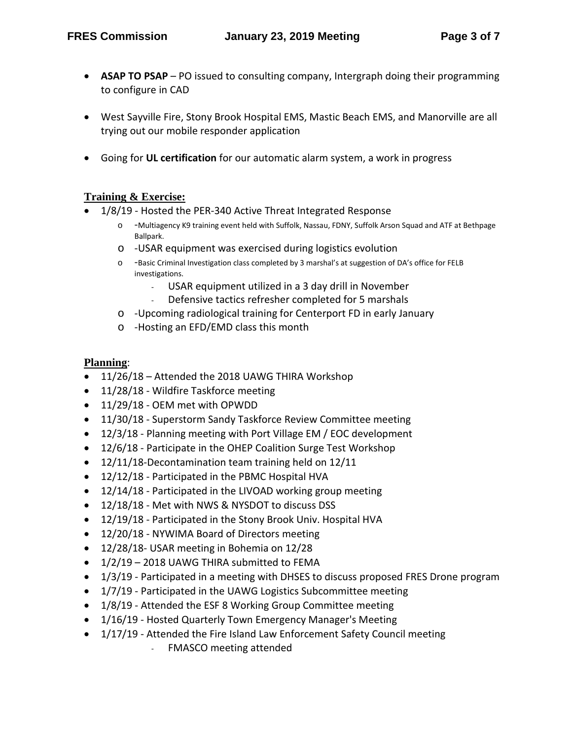- **ASAP TO PSAP** PO issued to consulting company, Intergraph doing their programming to configure in CAD
- West Sayville Fire, Stony Brook Hospital EMS, Mastic Beach EMS, and Manorville are all trying out our mobile responder application
- Going for **UL certification** for our automatic alarm system, a work in progress

### **Training & Exercise:**

- 1/8/19 Hosted the PER-340 Active Threat Integrated Response
	- o -Multiagency K9 training event held with Suffolk, Nassau, FDNY, Suffolk Arson Squad and ATF at Bethpage Ballpark.
	- o -USAR equipment was exercised during logistics evolution
	- o -Basic Criminal Investigation class completed by 3 marshal's at suggestion of DA's office for FELB investigations.
		- USAR equipment utilized in a 3 day drill in November
		- Defensive tactics refresher completed for 5 marshals
	- o -Upcoming radiological training for Centerport FD in early January
	- o -Hosting an EFD/EMD class this month

### **Planning**:

- 11/26/18 Attended the 2018 UAWG THIRA Workshop
- 11/28/18 Wildfire Taskforce meeting
- 11/29/18 OEM met with OPWDD
- 11/30/18 Superstorm Sandy Taskforce Review Committee meeting
- 12/3/18 Planning meeting with Port Village EM / EOC development
- 12/6/18 Participate in the OHEP Coalition Surge Test Workshop
- 12/11/18-Decontamination team training held on 12/11
- 12/12/18 Participated in the PBMC Hospital HVA
- 12/14/18 Participated in the LIVOAD working group meeting
- 12/18/18 Met with NWS & NYSDOT to discuss DSS
- 12/19/18 Participated in the Stony Brook Univ. Hospital HVA
- 12/20/18 NYWIMA Board of Directors meeting
- 12/28/18- USAR meeting in Bohemia on 12/28
- 1/2/19 2018 UAWG THIRA submitted to FEMA
- 1/3/19 Participated in a meeting with DHSES to discuss proposed FRES Drone program
- 1/7/19 Participated in the UAWG Logistics Subcommittee meeting
- 1/8/19 Attended the ESF 8 Working Group Committee meeting
- 1/16/19 Hosted Quarterly Town Emergency Manager's Meeting
- 1/17/19 Attended the Fire Island Law Enforcement Safety Council meeting
	- FMASCO meeting attended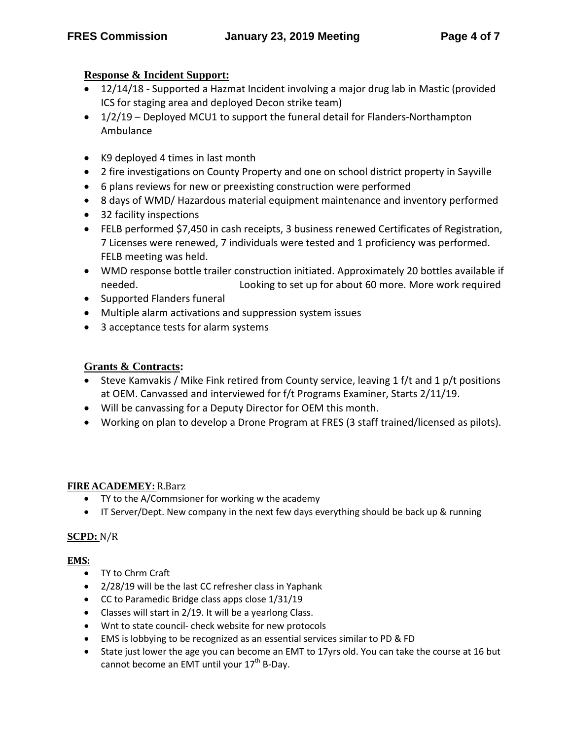# **Response & Incident Support:**

- 12/14/18 Supported a Hazmat Incident involving a major drug lab in Mastic (provided ICS for staging area and deployed Decon strike team)
- 1/2/19 Deployed MCU1 to support the funeral detail for Flanders-Northampton Ambulance
- K9 deployed 4 times in last month
- 2 fire investigations on County Property and one on school district property in Sayville
- 6 plans reviews for new or preexisting construction were performed
- 8 days of WMD/ Hazardous material equipment maintenance and inventory performed
- 32 facility inspections
- FELB performed \$7,450 in cash receipts, 3 business renewed Certificates of Registration, 7 Licenses were renewed, 7 individuals were tested and 1 proficiency was performed. FELB meeting was held.
- WMD response bottle trailer construction initiated. Approximately 20 bottles available if needed. Looking to set up for about 60 more. More work required
- Supported Flanders funeral
- Multiple alarm activations and suppression system issues
- 3 acceptance tests for alarm systems

### **Grants & Contracts:**

- Steve Kamvakis / Mike Fink retired from County service, leaving 1 f/t and 1 p/t positions at OEM. Canvassed and interviewed for f/t Programs Examiner, Starts 2/11/19.
- Will be canvassing for a Deputy Director for OEM this month.
- Working on plan to develop a Drone Program at FRES (3 staff trained/licensed as pilots).

### **FIRE ACADEMEY:** R.Barz

- TY to the A/Commsioner for working w the academy
- IT Server/Dept. New company in the next few days everything should be back up & running

### **SCPD:** N/R

### **EMS:**

- TY to Chrm Craft
- 2/28/19 will be the last CC refresher class in Yaphank
- CC to Paramedic Bridge class apps close 1/31/19
- Classes will start in 2/19. It will be a yearlong Class.
- Wnt to state council- check website for new protocols
- EMS is lobbying to be recognized as an essential services similar to PD & FD
- State just lower the age you can become an EMT to 17yrs old. You can take the course at 16 but cannot become an EMT until your 17<sup>th</sup> B-Day.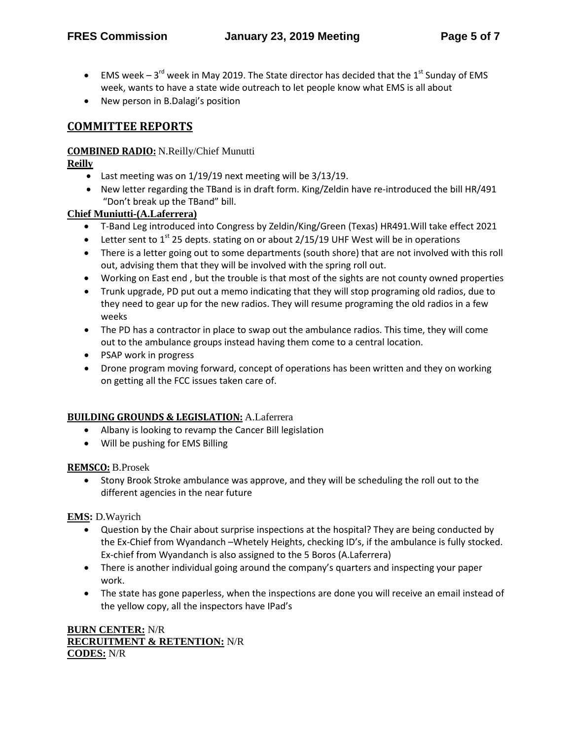- EMS week  $3^{rd}$  week in May 2019. The State director has decided that the 1st Sunday of EMS week, wants to have a state wide outreach to let people know what EMS is all about
- New person in B.Dalagi's position

## **COMMITTEE REPORTS**

#### **COMBINED RADIO:** N.Reilly/Chief Munutti

#### **Reilly**

- Last meeting was on 1/19/19 next meeting will be 3/13/19.
- New letter regarding the TBand is in draft form. King/Zeldin have re-introduced the bill HR/491 "Don't break up the TBand" bill.

### **Chief Muniutti-(A.Laferrera)**

- T-Band Leg introduced into Congress by Zeldin/King/Green (Texas) HR491.Will take effect 2021
- Letter sent to  $1<sup>st</sup>$  25 depts. stating on or about 2/15/19 UHF West will be in operations
- There is a letter going out to some departments (south shore) that are not involved with this roll out, advising them that they will be involved with the spring roll out.
- Working on East end , but the trouble is that most of the sights are not county owned properties
- Trunk upgrade, PD put out a memo indicating that they will stop programing old radios, due to they need to gear up for the new radios. They will resume programing the old radios in a few weeks
- The PD has a contractor in place to swap out the ambulance radios. This time, they will come out to the ambulance groups instead having them come to a central location.
- PSAP work in progress
- Drone program moving forward, concept of operations has been written and they on working on getting all the FCC issues taken care of.

#### **BUILDING GROUNDS & LEGISLATION:** A.Laferrera

- Albany is looking to revamp the Cancer Bill legislation
- Will be pushing for EMS Billing

#### **REMSCO:** B.Prosek

• Stony Brook Stroke ambulance was approve, and they will be scheduling the roll out to the different agencies in the near future

**EMS:** D.Wayrich

- Question by the Chair about surprise inspections at the hospital? They are being conducted by the Ex-Chief from Wyandanch –Whetely Heights, checking ID's, if the ambulance is fully stocked. Ex-chief from Wyandanch is also assigned to the 5 Boros (A.Laferrera)
- There is another individual going around the company's quarters and inspecting your paper work.
- The state has gone paperless, when the inspections are done you will receive an email instead of the yellow copy, all the inspectors have IPad's

#### **BURN CENTER:** N/R **RECRUITMENT & RETENTION:** N/R **CODES:** N/R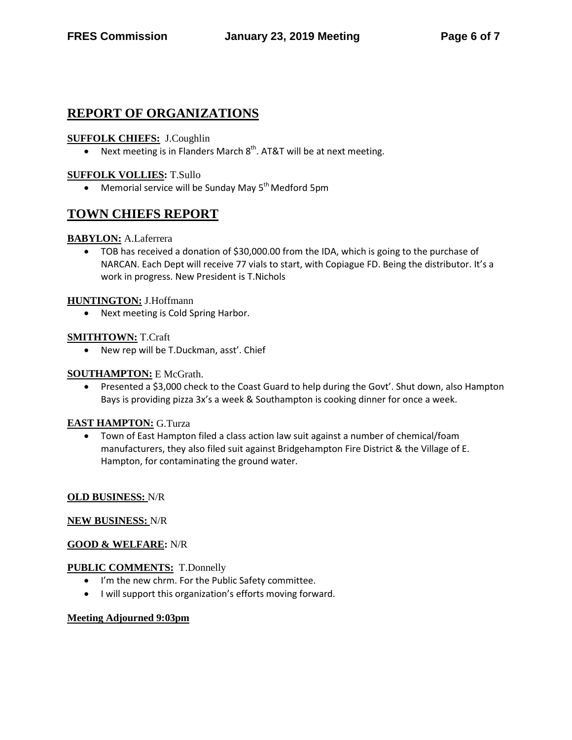# **REPORT OF ORGANIZATIONS**

### **SUFFOLK CHIEFS:** J.Coughlin

• Next meeting is in Flanders March  $8<sup>th</sup>$ . AT&T will be at next meeting.

#### **SUFFOLK VOLLIES:** T.Sullo

• Memorial service will be Sunday May 5<sup>th</sup> Medford 5pm

# **TOWN CHIEFS REPORT**

#### **BABYLON:** A.Laferrera

• TOB has received a donation of \$30,000.00 from the IDA, which is going to the purchase of NARCAN. Each Dept will receive 77 vials to start, with Copiague FD. Being the distributor. It's a work in progress. New President is T.Nichols

#### **HUNTINGTON:** J.Hoffmann

• Next meeting is Cold Spring Harbor.

#### **SMITHTOWN:** T.Craft

• New rep will be T.Duckman, asst'. Chief

#### **SOUTHAMPTON:** E McGrath.

• Presented a \$3,000 check to the Coast Guard to help during the Govt'. Shut down, also Hampton Bays is providing pizza 3x's a week & Southampton is cooking dinner for once a week.

#### **EAST HAMPTON:** G.Turza

• Town of East Hampton filed a class action law suit against a number of chemical/foam manufacturers, they also filed suit against Bridgehampton Fire District & the Village of E. Hampton, for contaminating the ground water.

#### **OLD BUSINESS:** N/R

#### **NEW BUSINESS:** N/R

#### **GOOD & WELFARE:** N/R

#### **PUBLIC COMMENTS:** T.Donnelly

- I'm the new chrm. For the Public Safety committee.
- I will support this organization's efforts moving forward.

#### **Meeting Adjourned 9:03pm**